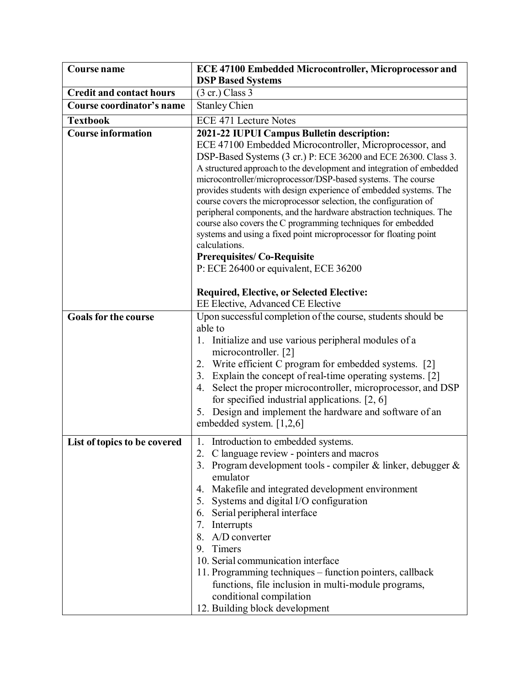| <b>Course name</b>              | <b>ECE 47100 Embedded Microcontroller, Microprocessor and</b>                                                                                                                                                                                                                                                                                                                                                                                                                                                                                                                                                                                                                                                                                                                                                           |
|---------------------------------|-------------------------------------------------------------------------------------------------------------------------------------------------------------------------------------------------------------------------------------------------------------------------------------------------------------------------------------------------------------------------------------------------------------------------------------------------------------------------------------------------------------------------------------------------------------------------------------------------------------------------------------------------------------------------------------------------------------------------------------------------------------------------------------------------------------------------|
|                                 | <b>DSP Based Systems</b>                                                                                                                                                                                                                                                                                                                                                                                                                                                                                                                                                                                                                                                                                                                                                                                                |
| <b>Credit and contact hours</b> | $(3 \text{ cr.})$ Class 3                                                                                                                                                                                                                                                                                                                                                                                                                                                                                                                                                                                                                                                                                                                                                                                               |
| Course coordinator's name       | <b>Stanley Chien</b>                                                                                                                                                                                                                                                                                                                                                                                                                                                                                                                                                                                                                                                                                                                                                                                                    |
| <b>Textbook</b>                 | <b>ECE 471 Lecture Notes</b>                                                                                                                                                                                                                                                                                                                                                                                                                                                                                                                                                                                                                                                                                                                                                                                            |
| <b>Course information</b>       | 2021-22 IUPUI Campus Bulletin description:<br>ECE 47100 Embedded Microcontroller, Microprocessor, and<br>DSP-Based Systems (3 cr.) P: ECE 36200 and ECE 26300. Class 3.<br>A structured approach to the development and integration of embedded<br>microcontroller/microprocessor/DSP-based systems. The course<br>provides students with design experience of embedded systems. The<br>course covers the microprocessor selection, the configuration of<br>peripheral components, and the hardware abstraction techniques. The<br>course also covers the C programming techniques for embedded<br>systems and using a fixed point microprocessor for floating point<br>calculations.<br><b>Prerequisites/Co-Requisite</b><br>P: ECE 26400 or equivalent, ECE 36200<br><b>Required, Elective, or Selected Elective:</b> |
|                                 | EE Elective, Advanced CE Elective                                                                                                                                                                                                                                                                                                                                                                                                                                                                                                                                                                                                                                                                                                                                                                                       |
| <b>Goals for the course</b>     | Upon successful completion of the course, students should be<br>able to<br>1. Initialize and use various peripheral modules of a<br>microcontroller. [2]<br>Write efficient C program for embedded systems. [2]<br>2.<br>Explain the concept of real-time operating systems. [2]<br>3.<br>Select the proper microcontroller, microprocessor, and DSP<br>4.<br>for specified industrial applications. $[2, 6]$<br>5. Design and implement the hardware and software of an<br>embedded system. [1,2,6]                                                                                                                                                                                                                                                                                                                    |
| List of topics to be covered    | 1. Introduction to embedded systems.<br>2. C language review - pointers and macros<br>3. Program development tools - compiler $\&$ linker, debugger $\&$<br>emulator<br>4. Makefile and integrated development environment<br>5. Systems and digital I/O configuration<br>6. Serial peripheral interface<br>7. Interrupts<br>8. A/D converter<br>9. Timers<br>10. Serial communication interface<br>11. Programming techniques – function pointers, callback<br>functions, file inclusion in multi-module programs,<br>conditional compilation<br>12. Building block development                                                                                                                                                                                                                                        |